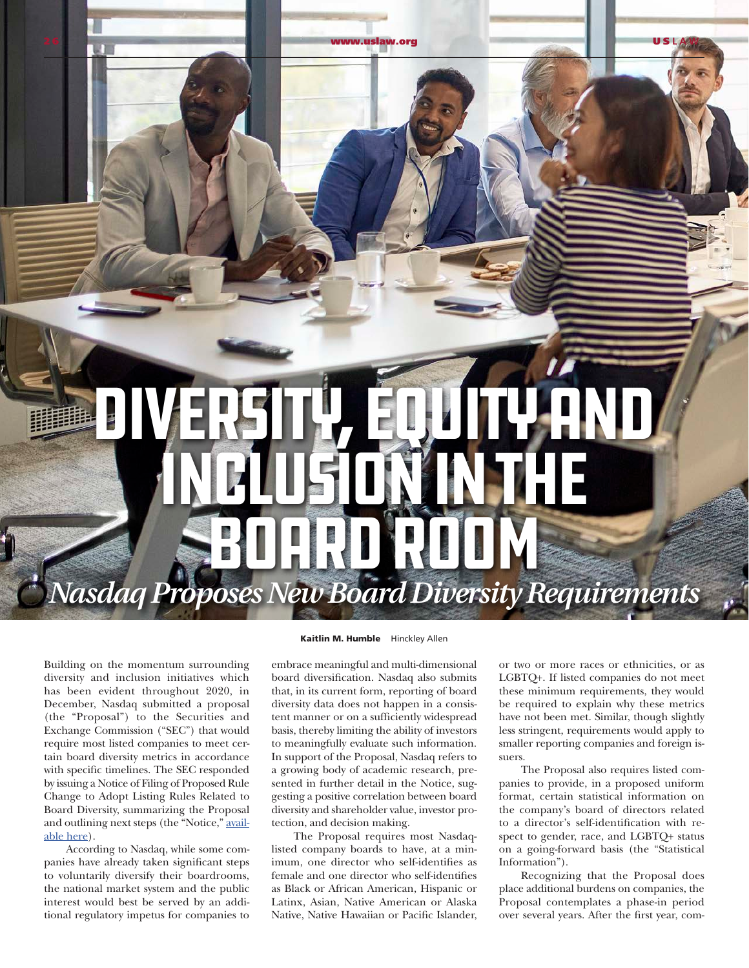## *Nasdaq Proposes New Board Diversity Requirements* Diversity, Equity anD INGLUSION IN THE Board Room

2 6 [www.uslaw.org](http://www.uslaw.org) U S **LAW**

Building on the momentum surrounding diversity and inclusion initiatives which has been evident throughout 2020, in December, Nasdaq submitted a proposal (the "Proposal") to the Securities and Exchange Commission ("SEC") that would require most listed companies to meet certain board diversity metrics in accordance with specific timelines. The SEC responded by issuing a Notice of Filing of Proposed Rule Change to Adopt Listing Rules Related to Board Diversity, summarizing the Proposal and outlining next steps (the "Notice," [avail](https://www.sec.gov/rules/sro/nasdaq/2020/34-90574.pdf)[able here\)](https://www.sec.gov/rules/sro/nasdaq/2020/34-90574.pdf).

According to Nasdaq, while some companies have already taken significant steps to voluntarily diversify their boardrooms, the national market system and the public interest would best be served by an additional regulatory impetus for companies to

## Kaitlin M. Humble Hinckley Allen

embrace meaningful and multi-dimensional board diversification. Nasdaq also submits that, in its current form, reporting of board diversity data does not happen in a consistent manner or on a sufficiently widespread basis, thereby limiting the ability of investors to meaningfully evaluate such information. In support of the Proposal, Nasdaq refers to a growing body of academic research, presented in further detail in the Notice, suggesting a positive correlation between board diversity and shareholder value, investor protection, and decision making.

The Proposal requires most Nasdaqlisted company boards to have, at a minimum, one director who self-identifies as female and one director who self-identifies as Black or African American, Hispanic or Latinx, Asian, Native American or Alaska Native, Native Hawaiian or Pacific Islander, or two or more races or ethnicities, or as LGBTQ+. If listed companies do not meet these minimum requirements, they would be required to explain why these metrics have not been met. Similar, though slightly less stringent, requirements would apply to smaller reporting companies and foreign issuers.

The Proposal also requires listed companies to provide, in a proposed uniform format, certain statistical information on the company's board of directors related to a director's self-identification with respect to gender, race, and LGBTQ+ status on a going-forward basis (the "Statistical Information").

Recognizing that the Proposal does place additional burdens on companies, the Proposal contemplates a phase-in period over several years. After the first year, com-